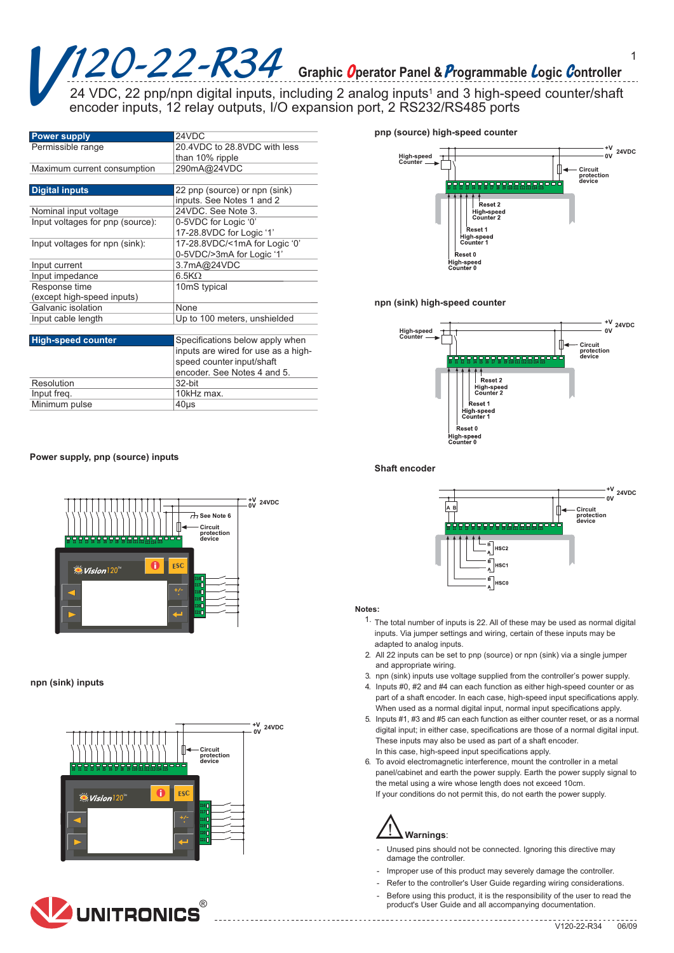# $120 - 22 - R34$  Graphic Operator Panel & Programmable Logic Controller

24 VDC, 22 pnp/npn digital inputs, including 2 analog inputs<sup>1</sup> and 3 high-speed counter/shaft encoder inputs, 12 relay outputs, I/O expansion port, 2 RS232/RS485 ports

| <b>Power supply</b>              | 24VDC                               |  |
|----------------------------------|-------------------------------------|--|
| Permissible range                | 20.4VDC to 28.8VDC with less        |  |
|                                  | than 10% ripple                     |  |
| Maximum current consumption      | 290mA@24VDC                         |  |
|                                  |                                     |  |
| <b>Digital inputs</b>            | 22 pnp (source) or npn (sink)       |  |
|                                  | inputs. See Notes 1 and 2           |  |
| Nominal input voltage            | 24VDC. See Note 3.                  |  |
| Input voltages for pnp (source): | 0-5VDC for Logic '0'                |  |
|                                  | 17-28.8VDC for Logic '1'            |  |
| Input voltages for npn (sink):   | 17-28.8VDC/<1mA for Logic '0'       |  |
|                                  | 0-5VDC/>3mA for Logic '1'           |  |
| Input current                    | 3.7mA@24VDC                         |  |
| Input impedance                  | $6.5K\Omega$                        |  |
| Response time                    | 10mS typical                        |  |
| (except high-speed inputs)       |                                     |  |
| Galvanic isolation               | None                                |  |
| Input cable length               | Up to 100 meters, unshielded        |  |
|                                  |                                     |  |
| <b>High-speed counter</b>        | Specifications below apply when     |  |
|                                  | inputs are wired for use as a high- |  |
|                                  | speed counter input/shaft           |  |
|                                  | encoder. See Notes 4 and 5.         |  |
| Resolution                       | 32-bit                              |  |
| Input freq.                      | 10kHz max.                          |  |
| Minimum pulse                    | 40µs                                |  |

# pnp (source) high-speed counter



## npn (sink) high-speed counter



#### Shaft encoder



#### Notes:

- <sup>1.</sup> The total number of inputs is 22. All of these may be used as normal digital inputs. Via jumper settings and wiring, certain of these inputs may be adapted to analog inputs.
- 2. All 22 inputs can be set to pnp (source) or npn (sink) via a single jumper and appropriate wiring.
- 3. npn (sink) inputs use voltage supplied from the controller's power supply.
- 4. Inputs #0, #2 and #4 can each function as either high-speed counter or as part of a shaft encoder. In each case, high-speed input specifications apply. When used as a normal digital input, normal input specifications apply.
- 5. Inputs #1, #3 and #5 can each function as either counter reset, or as a normal digital input; in either case, specifications are those of a normal digital input. These inputs may also be used as part of a shaft encoder. In this case, high-speed input specifications apply.
- 6. To avoid electromagnetic interference, mount the controller in a metal panel/cabinet and earth the power supply. Earth the power supply signal to the metal using a wire whose length does not exceed 10cm. If your conditions do not permit this, do not earth the power supply.

# Warnings:

- Unused pins should not be connected. Ignoring this directive may damage the controller.
- Improper use of this product may severely damage the controller.

- Refer to the controller's User Guide regarding wiring considerations.
- Before using this product, it is the responsibility of the user to read the product's User Guide and all accompanying documentation.

# Power supply, pnp (source) inputs



#### npn (sink) inputs



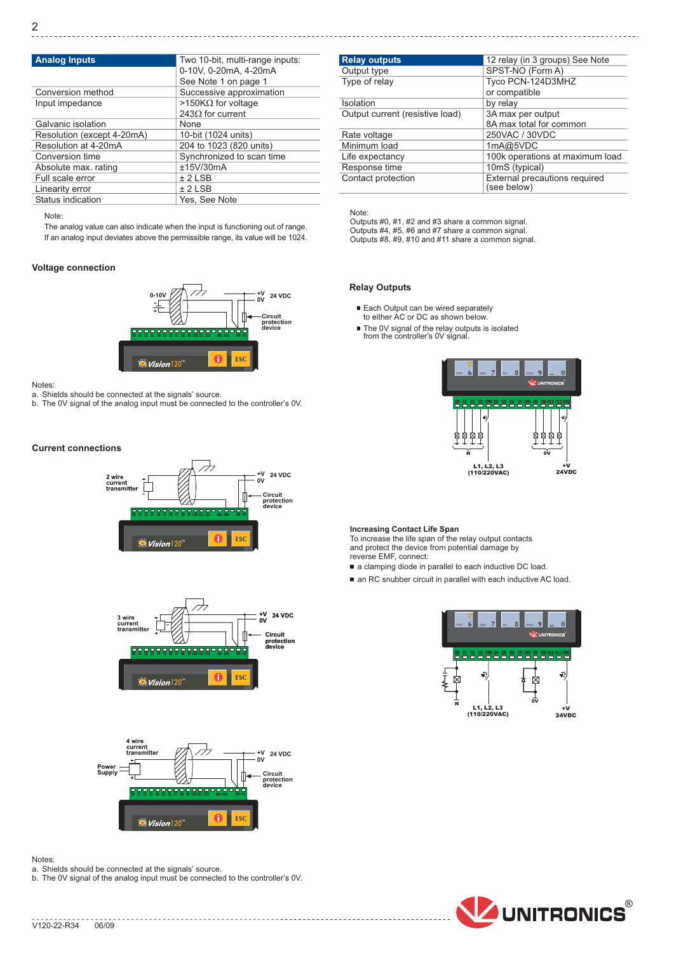| <b>Analog Inputs</b>       | Two 10-bit, multi-range inputs: |  |
|----------------------------|---------------------------------|--|
|                            | 0-10V, 0-20mA, 4-20mA           |  |
|                            | See Note 1 on page 1            |  |
| Conversion method          | Successive approximation        |  |
| Input impedance            | >150KΩ for voltage              |  |
|                            | 243 $\Omega$ for current        |  |
| Galvanic isolation         | None                            |  |
| Resolution (except 4-20mA) | 10-bit (1024 units)             |  |
| Resolution at 4-20mA       | 204 to 1023 (820 units)         |  |
| Conversion time            | Synchronized to scan time       |  |
| Absolute max. rating       | ±15V/30mA                       |  |
| Full scale error           | $± 2$ LSB                       |  |
| Linearity error            | $± 2$ LSB                       |  |
| Status indication          | Yes. See Note                   |  |

## Note:

The analog value can also indicate when the input is functioning out of range. If an analog input deviates above the permissible range, its value will be 1024.

# **Voltage connection**



#### Notes<sup>-</sup>

a. Shields should be connected at the signals' source.

b. The 0V signal of the analog input must be connected to the controller's 0V.

## **Current connections**







#### Notes:

a. Shields should be connected at the signals' source.

b. The 0V signal of the analog input must be connected to the controller's 0V.

| <b>Relay outputs</b>            | 12 relay (in 3 groups) See Note                          |  |
|---------------------------------|----------------------------------------------------------|--|
| Output type                     | SPST-NO (Form A)                                         |  |
| Type of relay                   | Tyco PCN-124D3MHZ                                        |  |
|                                 | or compatible                                            |  |
| Isolation                       | by relay                                                 |  |
| Output current (resistive load) | 3A max per output                                        |  |
|                                 | 8A max total for common                                  |  |
| Rate voltage                    | 250VAC / 30VDC                                           |  |
| Minimum load                    | 1mA@5VDC                                                 |  |
| Life expectancy                 | 100k operations at maximum load                          |  |
| Response time                   | 10mS (typical)                                           |  |
| Contact protection              | External precautions required<br>$(0.00 \text{ hollow})$ |  |

Note:

ı

Outputs #0, #1, #2 and #3 share a common signal. Outputs #4, #5, #6 and #7 share a common signal. Outputs #8, #9, #10 and #11 share a common signal.

# **Relay Outputs**

- Each Output can be wired separately to either AC or DC as shown below.
- The 0V signal of the relay outputs is isolated<br>from the controller's 0V signal.



# **Increasing Contact Life Span**

To increase the life span of the relay output contacts and protect the device from potential damage by<br>reverse EMF, connect:

a clamping diode in parallel to each inductive DC load.

an RC snubber circuit in parallel with each inductive AC load.



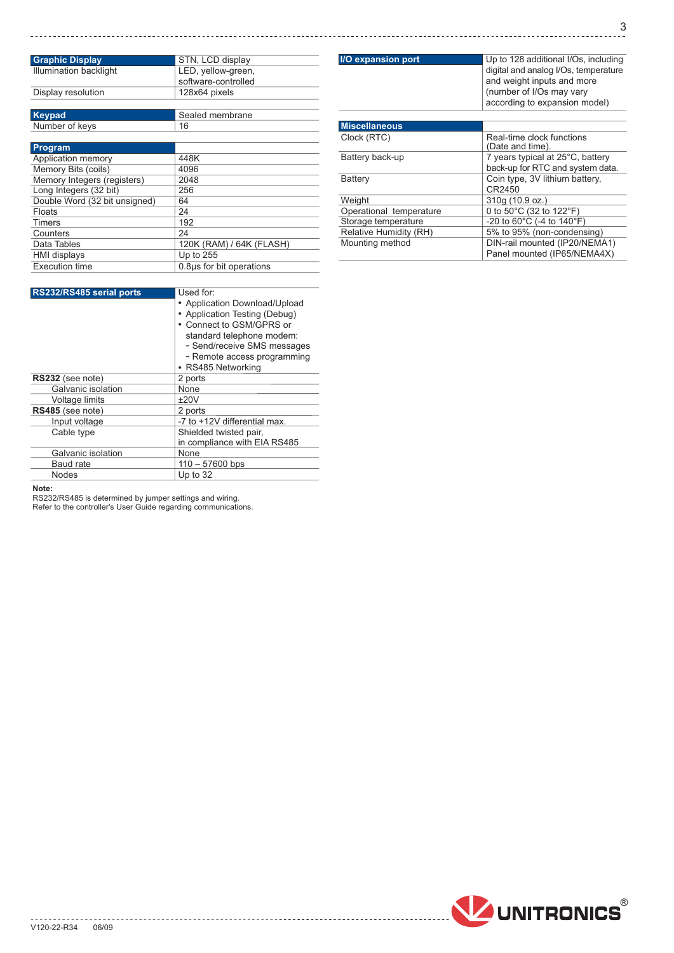| <b>Graphic Display</b>        | STN, LCD display         |  |
|-------------------------------|--------------------------|--|
| <b>Illumination backlight</b> | LED, yellow-green,       |  |
|                               | software-controlled      |  |
| Display resolution            | 128x64 pixels            |  |
|                               |                          |  |
| <b>Keypad</b>                 | Sealed membrane          |  |
| Number of keys                | 16                       |  |
|                               |                          |  |
| <b>Program</b>                |                          |  |
| Application memory            | 448K                     |  |
| Memory Bits (coils)           | 4096                     |  |
| Memory Integers (registers)   | 2048                     |  |
| Long Integers (32 bit)        | 256                      |  |
| Double Word (32 bit unsigned) | 64                       |  |
| Floats                        | 24                       |  |
| Timers                        | 192                      |  |
| Counters                      | 24                       |  |
| Data Tables                   | 120K (RAM) / 64K (FLASH) |  |
| <b>HMI</b> displays           | Up to 255                |  |
| <b>Execution time</b>         | 0.8us for bit operations |  |

| RS232/RS485 serial ports | Used for:                                                                                                               |
|--------------------------|-------------------------------------------------------------------------------------------------------------------------|
|                          | • Application Download/Upload<br>• Application Testing (Debug)<br>• Connect to GSM/GPRS or<br>standard telephone modem: |
|                          | - Send/receive SMS messages<br>- Remote access programming<br>• RS485 Networking                                        |
| RS232 (see note)         | 2 ports                                                                                                                 |
| Galvanic isolation       | None                                                                                                                    |
| Voltage limits           | ±20V                                                                                                                    |
| RS485 (see note)         | 2 ports                                                                                                                 |
| Input voltage            | -7 to +12V differential max.                                                                                            |
| Cable type               | Shielded twisted pair,<br>in compliance with EIA RS485                                                                  |
| Galvanic isolation       | None                                                                                                                    |
| <b>Baud rate</b>         | $110 - 57600$ bps                                                                                                       |
| Nodes                    | Up to $32$                                                                                                              |

Note:<br>RS232/RS485 is determined by jumper settings and wiring.<br>Refer to the controller's User Guide regarding communications.

| <b>I/O expansion port</b> | Up to 128 additional I/Os, including<br>digital and analog I/Os, temperature<br>and weight inputs and more<br>(number of I/Os may vary<br>according to expansion model) |  |
|---------------------------|-------------------------------------------------------------------------------------------------------------------------------------------------------------------------|--|
| <b>Miscellaneous</b>      |                                                                                                                                                                         |  |
| Clock (RTC)               | Real-time clock functions<br>(Date and time).                                                                                                                           |  |
| Battery back-up           | 7 years typical at 25°C, battery<br>back-up for RTC and system data.                                                                                                    |  |
| Battery                   | Coin type, 3V lithium battery,<br>CR2450                                                                                                                                |  |
| Weight                    | 310g (10.9 oz.)                                                                                                                                                         |  |
| Operational temperature   | 0 to $50^{\circ}$ C (32 to $122^{\circ}$ F)                                                                                                                             |  |
| Storage temperature       | -20 to $60^{\circ}$ C (-4 to 140 $^{\circ}$ F)                                                                                                                          |  |
| Relative Humidity (RH)    | 5% to 95% (non-condensing)                                                                                                                                              |  |
| Mounting method           | DIN-rail mounted (IP20/NEMA1)<br>Panel mounted (IP65/NEMA4X)                                                                                                            |  |



. . . . . . . .